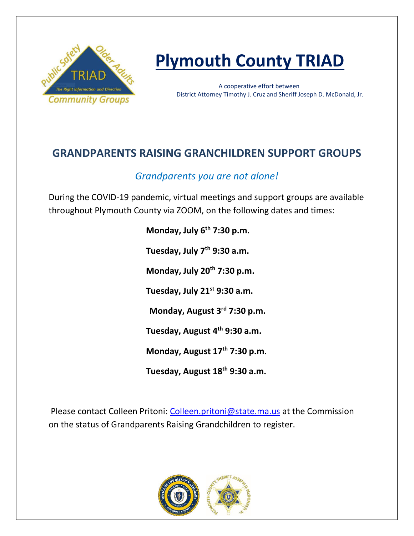

# **Plymouth County TRIAD**

 A cooperative effort between District Attorney Timothy J. Cruz and Sheriff Joseph D. McDonald, Jr.

## **GRANDPARENTS RAISING GRANCHILDREN SUPPORT GROUPS**

## *Grandparents you are not alone!*

During the COVID-19 pandemic, virtual meetings and support groups are available throughout Plymouth County via ZOOM, on the following dates and times:

> **Monday, July 6th 7:30 p.m. Tuesday, July 7th 9:30 a.m. Monday, July 20th 7:30 p.m. Tuesday, July 21st 9:30 a.m. Monday, August 3rd 7:30 p.m. Tuesday, August 4th 9:30 a.m. Monday, August 17th 7:30 p.m. Tuesday, August 18th 9:30 a.m.**

Please contact Colleen Pritoni: [Colleen.pritoni@state.ma.us](mailto:Colleen.pritoni@state.ma.us) at the Commission on the status of Grandparents Raising Grandchildren to register.

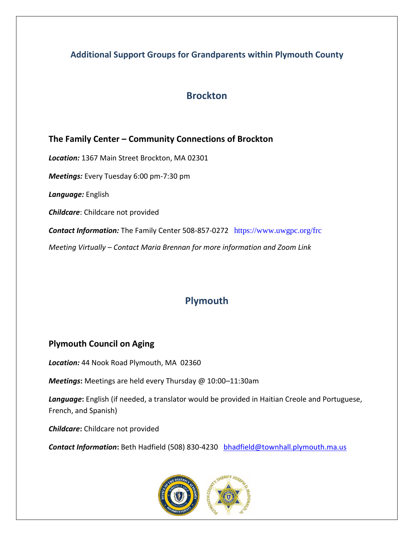#### **Additional Support Groups for Grandparents within Plymouth County**

#### **Brockton**

**The Family Center – Community Connections of Brockton** *Location:* 1367 Main Street Brockton, MA 02301 *Meetings:* Every Tuesday 6:00 pm-7:30 pm *Language:* English *Childcare*: Childcare not provided *Contact Information:* The Family Center 508-857-0272 <https://www.uwgpc.org/frc> *Meeting Virtually – Contact Maria Brennan for more information and Zoom Link*

## **Plymouth**

#### **Plymouth Council on Aging**

*Location:* 44 Nook Road Plymouth, MA 02360

*Meetings***:** Meetings are held every Thursday @ 10:00–11:30am

*Language***:** English (if needed, a translator would be provided in Haitian Creole and Portuguese, French, and Spanish)

*Childcare***:** Childcare not provided

*Contact Information***:** Beth Hadfield (508) 830-4230 [bhadfield@townhall.plymouth.ma.us](mailto:bhadfield@townhall.plymouth.ma.us)